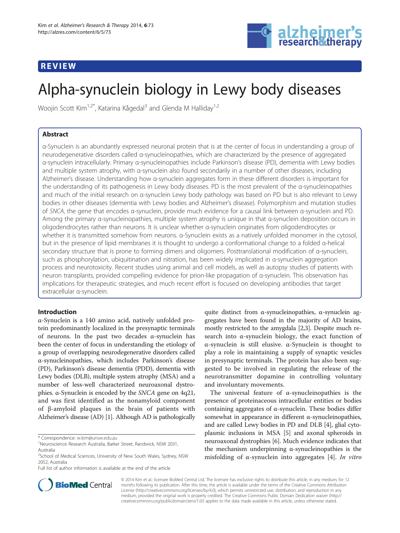## REVIEW



# Alpha-synuclein biology in Lewy body diseases

Woojin Scott Kim<sup>1,2\*</sup>, Katarina Kågedal<sup>3</sup> and Glenda M Hallidav<sup>1,2</sup>

## Abstract

α-Synuclein is an abundantly expressed neuronal protein that is at the center of focus in understanding a group of neurodegenerative disorders called α-synucleinopathies, which are characterized by the presence of aggregated α-synuclein intracellularly. Primary α-synucleinopathies include Parkinson's disease (PD), dementia with Lewy bodies and multiple system atrophy, with α-synuclein also found secondarily in a number of other diseases, including Alzheimer's disease. Understanding how α-synuclein aggregates form in these different disorders is important for the understanding of its pathogenesis in Lewy body diseases. PD is the most prevalent of the α-synucleinopathies and much of the initial research on α-synuclein Lewy body pathology was based on PD but is also relevant to Lewy bodies in other diseases (dementia with Lewy bodies and Alzheimer's disease). Polymorphism and mutation studies of SNCA, the gene that encodes α-synuclein, provide much evidence for a causal link between α-synuclein and PD. Among the primary α-synucleinopathies, multiple system atrophy is unique in that α-synuclein deposition occurs in oligodendrocytes rather than neurons. It is unclear whether α-synuclein originates from oligodendrocytes or whether it is transmitted somehow from neurons. α-Synuclein exists as a natively unfolded monomer in the cytosol, but in the presence of lipid membranes it is thought to undergo a conformational change to a folded α-helical secondary structure that is prone to forming dimers and oligomers. Posttranslational modification of α-synuclein, such as phosphorylation, ubiquitination and nitration, has been widely implicated in α-synuclein aggregation process and neurotoxicity. Recent studies using animal and cell models, as well as autopsy studies of patients with neuron transplants, provided compelling evidence for prion-like propagation of α-synuclein. This observation has implications for therapeutic strategies, and much recent effort is focused on developing antibodies that target extracellular α-synuclein.

## Introduction

α-Synuclein is a 140 amino acid, natively unfolded protein predominantly localized in the presynaptic terminals of neurons. In the past two decades α-synuclein has been the center of focus in understanding the etiology of a group of overlapping neurodegenerative disorders called α-synucleinopathies, which includes Parkinson's disease (PD), Parkinson's disease dementia (PDD), dementia with Lewy bodies (DLB), multiple system atrophy (MSA) and a number of less-well characterized neuroaxonal dystrophies. α-Synuclein is encoded by the SNCA gene on 4q21, and was first identified as the nonamyloid component of β-amyloid plaques in the brain of patients with Alzheimer's disease (AD) [\[1\]](#page-5-0). Although AD is pathologically

quite distinct from α-synucleinopathies, α-synuclein aggregates have been found in the majority of AD brains, mostly restricted to the amygdala [\[2,3\]](#page-5-0). Despite much research into α-synuclein biology, the exact function of α-synuclein is still elusive. α-Synuclein is thought to play a role in maintaining a supply of synaptic vesicles in presynaptic terminals. The protein has also been suggested to be involved in regulating the release of the neurotransmitter dopamine in controlling voluntary and involuntary movements.

The universal feature of α-synucleinopathies is the presence of proteinaceous intracellular entities or bodies containing aggregates of α-synuclein. These bodies differ somewhat in appearance in different  $\alpha$ -synucleinopathies, and are called Lewy bodies in PD and DLB [[4\]](#page-5-0), glial cytoplasmic inclusions in MSA [\[5](#page-5-0)] and axonal spheroids in neuroaxonal dystrophies [[6](#page-5-0)]. Much evidence indicates that the mechanism underpinning α-synucleinopathies is the misfolding of  $\alpha$ -synuclein into aggregates [[4](#page-5-0)]. In vitro



© 2014 Kim et al.; licensee BioMed Central Ltd. The licensee has exclusive rights to distribute this article, in any medium, for 12 months following its publication. After this time, the article is available under the terms of the Creative Commons Attribution License (<http://creativecommons.org/licenses/by/4.0>), which permits unrestricted use, distribution, and reproduction in any medium, provided the original work is properly credited. The Creative Commons Public Domain Dedication waiver [\(http://](http://creativecommons.org/publicdomain/zero/1.0/) [creativecommons.org/publicdomain/zero/1.0/\)](http://creativecommons.org/publicdomain/zero/1.0/) applies to the data made available in this article, unless otherwise stated.

<sup>\*</sup> Correspondence: [w.kim@unsw.edu.au](mailto:w.kim@unsw.edu.au) <sup>1</sup>

Neuroscience Research Australia, Barker Street, Randwick, NSW 2031, Australia

<sup>&</sup>lt;sup>2</sup>School of Medical Sciences, University of New South Wales, Sydney, NSW 2052, Australia

Full list of author information is available at the end of the article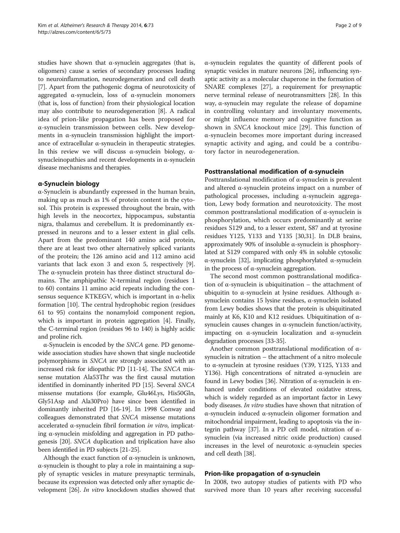studies have shown that  $\alpha$ -synuclein aggregates (that is, oligomers) cause a series of secondary processes leading to neuroinflammation, neurodegeneration and cell death [[7\]](#page-5-0). Apart from the pathogenic dogma of neurotoxicity of aggregated α-synuclein, loss of α-synuclein monomers (that is, loss of function) from their physiological location may also contribute to neurodegeneration [\[8](#page-5-0)]. A radical idea of prion-like propagation has been proposed for α-synuclein transmission between cells. New developments in α-synuclein transmission highlight the importance of extracellular α-synuclein in therapeutic strategies. In this review we will discuss  $α$ -synuclein biology,  $α$ synucleinopathies and recent developments in α-synuclein disease mechanisms and therapies.

### α-Synuclein biology

α-Synuclein is abundantly expressed in the human brain, making up as much as 1% of protein content in the cytosol. This protein is expressed throughout the brain, with high levels in the neocortex, hippocampus, substantia nigra, thalamus and cerebellum. It is predominantly expressed in neurons and to a lesser extent in glial cells. Apart from the predominant 140 amino acid protein, there are at least two other alternatively spliced variants of the protein; the 126 amino acid and 112 amino acid variants that lack exon 3 and exon 5, respectively [\[9](#page-5-0)]. The α-synuclein protein has three distinct structural domains. The amphipathic N-terminal region (residues 1 to 60) contains 11 amino acid repeats including the consensus sequence KTKEGV, which is important in α-helix formation [\[10](#page-5-0)]. The central hydrophobic region (residues 61 to 95) contains the nonamyloid component region, which is important in protein aggregation [\[4](#page-5-0)]. Finally, the C-terminal region (residues 96 to 140) is highly acidic and proline rich.

α-Synuclein is encoded by the SNCA gene. PD genomewide association studies have shown that single nucleotide polymorphisms in SNCA are strongly associated with an increased risk for idiopathic PD [\[11-14\]](#page-5-0). The SNCA missense mutation Ala53Thr was the first causal mutation identified in dominantly inherited PD [\[15](#page-5-0)]. Several SNCA missense mutations (for example, Glu46Lys, His50Gln, Gly51Asp and Ala30Pro) have since been identified in dominantly inherited PD [\[16-19](#page-5-0)]. In 1998 Conway and colleagues demonstrated that SNCA missense mutations accelerated α-synuclein fibril formation *in vitro*, implicating α-synuclein misfolding and aggregation in PD pathogenesis [[20](#page-5-0)]. SNCA duplication and triplication have also been identified in PD subjects [[21](#page-5-0)-[25](#page-5-0)].

Although the exact function of  $\alpha$ -synuclein is unknown, α-synuclein is thought to play a role in maintaining a supply of synaptic vesicles in mature presynaptic terminals, because its expression was detected only after synaptic development [[26](#page-5-0)]. In vitro knockdown studies showed that α-synuclein regulates the quantity of different pools of synaptic vesicles in mature neurons [[26](#page-5-0)], influencing synaptic activity as a molecular chaperone in the formation of SNARE complexes [\[27\]](#page-5-0), a requirement for presynaptic nerve terminal release of neurotransmitters [\[28\]](#page-5-0). In this way, α-synuclein may regulate the release of dopamine in controlling voluntary and involuntary movements, or might influence memory and cognitive function as shown in SNCA knockout mice [[29](#page-6-0)]. This function of α-synuclein becomes more important during increased synaptic activity and aging, and could be a contributory factor in neurodegeneration.

### Posttranslational modification of α-synuclein

Posttranslational modification of α-synuclein is prevalent and altered α-synuclein proteins impact on a number of pathological processes, including α-synuclein aggregation, Lewy body formation and neurotoxicity. The most common posttranslational modification of α-synuclein is phosphorylation, which occurs predominantly at serine residues S129 and, to a lesser extent, S87 and at tyrosine residues Y125, Y133 and Y135 [\[30,31\]](#page-6-0). In DLB brains, approximately 90% of insoluble α-synuclein is phosphorylated at S129 compared with only 4% in soluble cytosolic α-synuclein [\[32\]](#page-6-0), implicating phosphorylated α-synuclein in the process of  $\alpha$ -synuclein aggregation.

The second most common posttranslational modification of α-synuclein is ubiquitination – the attachment of ubiquitin to α-synuclein at lysine residues. Although αsynuclein contains 15 lysine residues, α-synuclein isolated from Lewy bodies shows that the protein is ubiquitinated mainly at K6, K10 and K12 residues. Ubiquitination of αsynuclein causes changes in α-synuclein function/activity, impacting on α-synuclein localization and α-synuclein degradation processes [\[33-35\]](#page-6-0).

Another common posttranslational modification of αsynuclein is nitration – the attachment of a nitro molecule to α-synuclein at tyrosine residues (Y39, Y125, Y133 and Y136). High concentrations of nitrated α-synuclein are found in Lewy bodies [\[36\]](#page-6-0). Nitration of α-synuclein is enhanced under conditions of elevated oxidative stress, which is widely regarded as an important factor in Lewy body diseases. *In vitro* studies have shown that nitration of α-synuclein induced α-synuclein oligomer formation and mitochondrial impairment, leading to apoptosis via the integrin pathway [[37](#page-6-0)]. In a PD cell model, nitration of αsynuclein (via increased nitric oxide production) caused increases in the level of neurotoxic α-synuclein species and cell death [\[38\]](#page-6-0).

### Prion-like propagation of α-synuclein

In 2008, two autopsy studies of patients with PD who survived more than 10 years after receiving successful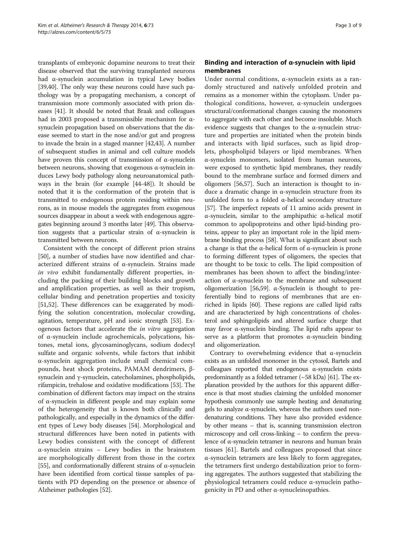transplants of embryonic dopamine neurons to treat their disease observed that the surviving transplanted neurons had α-synuclein accumulation in typical Lewy bodies [[39,40](#page-6-0)]. The only way these neurons could have such pathology was by a propagating mechanism, a concept of transmission more commonly associated with prion diseases [\[41\]](#page-6-0). It should be noted that Braak and colleagues had in 2003 proposed a transmissible mechanism for αsynuclein propagation based on observations that the disease seemed to start in the nose and/or gut and progress to invade the brain in a staged manner [[42,43\]](#page-6-0). A number of subsequent studies in animal and cell culture models have proven this concept of transmission of α-synuclein between neurons, showing that exogenous α-synuclein induces Lewy body pathology along neuroanatomical pathways in the brain (for example [[44](#page-6-0)-[48](#page-6-0)]). It should be noted that it is the conformation of the protein that is transmitted to endogenous protein residing within neurons, as in mouse models the aggregates from exogenous sources disappear in about a week with endogenous aggregates beginning around 3 months later [\[49\]](#page-6-0). This observation suggests that a particular strain of  $\alpha$ -synuclein is transmitted between neurons.

Consistent with the concept of different prion strains [[50\]](#page-6-0), a number of studies have now identified and characterized different strains of α-synuclein. Strains made in vivo exhibit fundamentally different properties, including the packing of their building blocks and growth and amplification properties, as well as their tropism, cellular binding and penetration properties and toxicity [[51,52\]](#page-6-0). These differences can be exaggerated by modifying the solution concentration, molecular crowding, agitation, temperature, pH and ionic strength [\[53\]](#page-6-0). Exogenous factors that accelerate the in vitro aggregation of α-synuclein include agrochemicals, polycations, histones, metal ions, glycosaminoglycans, sodium dodecyl sulfate and organic solvents, while factors that inhibit α-synuclein aggregation include small chemical compounds, heat shock proteins, PAMAM dendrimers, βsynuclein and γ-synuclein, catecholamines, phospholipids, rifampicin, trehalose and oxidative modifications [\[53\]](#page-6-0). The combination of different factors may impact on the strains of α-synuclein in different people and may explain some of the heterogeneity that is known both clinically and pathologically, and especially in the dynamics of the different types of Lewy body diseases [[54\]](#page-6-0). Morphological and structural differences have been noted in patients with Lewy bodies consistent with the concept of different α-synuclein strains – Lewy bodies in the brainstem are morphologically different from those in the cortex [[55](#page-6-0)], and conformationally different strains of α-synuclein have been identified from cortical tissue samples of patients with PD depending on the presence or absence of Alzheimer pathologies [[52\]](#page-6-0).

## Binding and interaction of α-synuclein with lipid membranes

Under normal conditions, α-synuclein exists as a randomly structured and natively unfolded protein and remains as a monomer within the cytoplasm. Under pathological conditions, however, α-synuclein undergoes structural/conformational changes causing the monomers to aggregate with each other and become insoluble. Much evidence suggests that changes to the α-synuclein structure and properties are initiated when the protein binds and interacts with lipid surfaces, such as lipid droplets, phospholipid bilayers or lipid membranes. When α-synuclein monomers, isolated from human neurons, were exposed to synthetic lipid membranes, they readily bound to the membrane surface and formed dimers and oligomers [\[56,57\]](#page-6-0). Such an interaction is thought to induce a dramatic change in α-synuclein structure from its unfolded form to a folded α-helical secondary structure [[57](#page-6-0)]. The imperfect repeats of 11 amino acids present in α-synuclein, similar to the amphipathic α-helical motif common to apolipoproteins and other lipid-binding proteins, appear to play an important role in the lipid membrane binding process [[58\]](#page-6-0). What is significant about such a change is that the α-helical form of α-synuclein is prone to forming different types of oligomers, the species that are thought to be toxic to cells. The lipid composition of membranes has been shown to affect the binding/interaction of α-synuclein to the membrane and subsequent oligomerization [[56,59](#page-6-0)].  $α$ -Synuclein is thought to preferentially bind to regions of membranes that are enriched in lipids [[60](#page-6-0)]. These regions are called lipid rafts and are characterized by high concentrations of cholesterol and sphingolipids and altered surface charge that may favor α-synuclein binding. The lipid rafts appear to serve as a platform that promotes  $\alpha$ -synuclein binding and oligomerization.

Contrary to overwhelming evidence that  $\alpha$ -synuclein exists as an unfolded monomer in the cytosol, Bartels and colleagues reported that endogenous α-synuclein exists predominantly as a folded tetramer  $(\sim 58 \text{ kDa})$  [\[61](#page-6-0)]. The explanation provided by the authors for this apparent difference is that most studies claiming the unfolded monomer hypothesis commonly use sample heating and denaturing gels to analyze α-synuclein, whereas the authors used nondenaturing conditions. They have also provided evidence by other means – that is, scanning transmission electron microscopy and cell cross-linking – to confirm the prevalence of α-synuclein tetramer in neurons and human brain tissues [[61\]](#page-6-0). Bartels and colleagues proposed that since α-synuclein tetramers are less likely to form aggregates, the tetramers first undergo destabilization prior to forming aggregates. The authors suggested that stabilizing the physiological tetramers could reduce α-synuclein pathogenicity in PD and other α-synucleinopathies.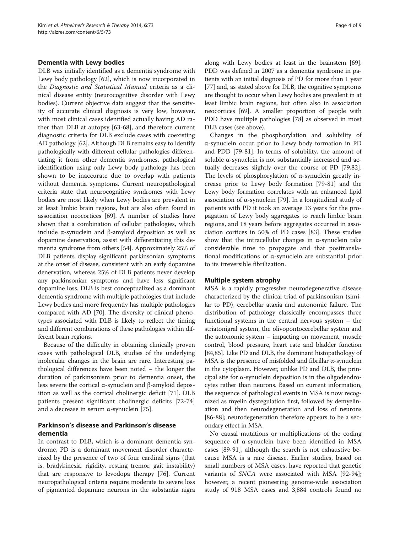#### Dementia with Lewy bodies

DLB was initially identified as a dementia syndrome with Lewy body pathology [[62](#page-6-0)], which is now incorporated in the Diagnostic and Statistical Manual criteria as a clinical disease entity (neurocognitive disorder with Lewy bodies). Current objective data suggest that the sensitivity of accurate clinical diagnosis is very low, however, with most clinical cases identified actually having AD rather than DLB at autopsy [[63](#page-6-0)-[68\]](#page-6-0), and therefore current diagnostic criteria for DLB exclude cases with coexisting AD pathology [\[62\]](#page-6-0). Although DLB remains easy to identify pathologically with different cellular pathologies differentiating it from other dementia syndromes, pathological identification using only Lewy body pathology has been shown to be inaccurate due to overlap with patients without dementia symptoms. Current neuropathological criteria state that neurocognitive syndromes with Lewy bodies are most likely when Lewy bodies are prevalent in at least limbic brain regions, but are also often found in association neocortices [\[69\]](#page-6-0). A number of studies have shown that a combination of cellular pathologies, which include α-synuclein and β-amyloid deposition as well as dopamine denervation, assist with differentiating this dementia syndrome from others [\[54\]](#page-6-0). Approximately 25% of DLB patients display significant parkinsonian symptoms at the onset of disease, consistent with an early dopamine denervation, whereas 25% of DLB patients never develop any parkinsonian symptoms and have less significant dopamine loss. DLB is best conceptualized as a dominant dementia syndrome with multiple pathologies that include Lewy bodies and more frequently has multiple pathologies compared with AD [[70](#page-7-0)]. The diversity of clinical phenotypes associated with DLB is likely to reflect the timing and different combinations of these pathologies within different brain regions.

Because of the difficulty in obtaining clinically proven cases with pathological DLB, studies of the underlying molecular changes in the brain are rare. Interesting pathological differences have been noted – the longer the duration of parkinsonism prior to dementia onset, the less severe the cortical α-synuclein and β-amyloid deposition as well as the cortical cholinergic deficit [\[71](#page-7-0)]. DLB patients present significant cholinergic deficits [\[72](#page-7-0)-[74](#page-7-0)] and a decrease in serum  $\alpha$ -synuclein [\[75](#page-7-0)].

## Parkinson's disease and Parkinson's disease dementia

In contrast to DLB, which is a dominant dementia syndrome, PD is a dominant movement disorder characterized by the presence of two of four cardinal signs (that is, bradykinesia, rigidity, resting tremor, gait instability) that are responsive to levodopa therapy [[76\]](#page-7-0). Current neuropathological criteria require moderate to severe loss of pigmented dopamine neurons in the substantia nigra

along with Lewy bodies at least in the brainstem [[69](#page-6-0)]. PDD was defined in 2007 as a dementia syndrome in patients with an initial diagnosis of PD for more than 1 year [[77](#page-7-0)] and, as stated above for DLB, the cognitive symptoms are thought to occur when Lewy bodies are prevalent in at least limbic brain regions, but often also in association neocortices [[69\]](#page-6-0). A smaller proportion of people with PDD have multiple pathologies [\[78\]](#page-7-0) as observed in most DLB cases (see above).

Changes in the phosphorylation and solubility of α-synuclein occur prior to Lewy body formation in PD and PDD [[79-81\]](#page-7-0). In terms of solubility, the amount of soluble α-synuclein is not substantially increased and actually decreases slightly over the course of PD [\[79,82](#page-7-0)]. The levels of phosphorylation of α-synuclein greatly increase prior to Lewy body formation [[79-81](#page-7-0)] and the Lewy body formation correlates with an enhanced lipid association of α-synuclein [[79\]](#page-7-0). In a longitudinal study of patients with PD it took an average 13 years for the propagation of Lewy body aggregates to reach limbic brain regions, and 18 years before aggregates occurred in association cortices in 50% of PD cases [[83](#page-7-0)]. These studies show that the intracellular changes in  $\alpha$ -synuclein take considerable time to propagate and that posttranslational modifications of α-synuclein are substantial prior to its irreversible fibrilization.

### Multiple system atrophy

MSA is a rapidly progressive neurodegenerative disease characterized by the clinical triad of parkinsonism (similar to PD), cerebellar ataxia and autonomic failure. The distribution of pathology classically encompasses three functional systems in the central nervous system – the striatonigral system, the olivopontocerebellar system and the autonomic system – impacting on movement, muscle control, blood pressure, heart rate and bladder function [[84](#page-7-0),[85](#page-7-0)]. Like PD and DLB, the dominant histopathology of MSA is the presence of misfolded and fibrillar  $\alpha$ -synuclein in the cytoplasm. However, unlike PD and DLB, the principal site for α-synuclein deposition is in the oligodendrocytes rather than neurons. Based on current information, the sequence of pathological events in MSA is now recognized as myelin dysregulation first, followed by demyelination and then neurodegeneration and loss of neurons [[86](#page-7-0)-[88\]](#page-7-0); neurodegeneration therefore appears to be a secondary effect in MSA.

No causal mutations or multiplications of the coding sequence of α-synuclein have been identified in MSA cases [[89](#page-7-0)-[91\]](#page-7-0), although the search is not exhaustive because MSA is a rare disease. Earlier studies, based on small numbers of MSA cases, have reported that genetic variants of SNCA were associated with MSA [\[92-94](#page-7-0)]; however, a recent pioneering genome-wide association study of 918 MSA cases and 3,884 controls found no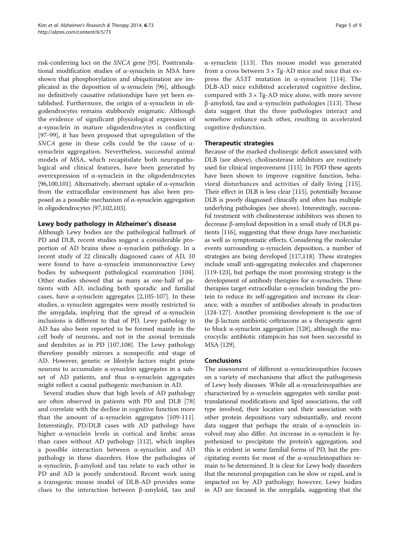risk-conferring loci on the SNCA gene [\[95](#page-7-0)]. Posttranslational modification studies of α-synuclein in MSA have shown that phosphorylation and ubiquitination are im-plicated in the deposition of α-synuclein [\[96](#page-7-0)], although no definitively causative relationships have yet been established. Furthermore, the origin of α-synuclein in oligodendrocytes remains stubbornly enigmatic. Although the evidence of significant physiological expression of α-synuclein in mature oligodendrocytes is conflicting [[97-99\]](#page-7-0), it has been proposed that upregulation of the SNCA gene in these cells could be the cause of  $\alpha$ synuclein aggregation. Nevertheless, successful animal models of MSA, which recapitulate both neuropathological and clinical features, have been generated by overexpression of α-synuclein in the oligodendrocytes [[96,100,101](#page-7-0)]. Alternatively, aberrant uptake of α-synuclein from the extracellular environment has also been proposed as a possible mechanism of α-synuclein aggregation in oligodendrocytes [[97,102,103](#page-7-0)].

## Lewy body pathology in Alzheimer's disease

Although Lewy bodies are the pathological hallmark of PD and DLB, recent studies suggest a considerable proportion of AD brains show α-synuclein pathology. In a recent study of 22 clinically diagnosed cases of AD, 10 were found to have α-synuclein immunoreactive Lewy bodies by subsequent pathological examination [\[104](#page-7-0)]. Other studies showed that as many as one-half of patients with AD, including both sporadic and familial cases, have α-synuclein aggregates [\[2](#page-5-0)[,105](#page-7-0)-[107](#page-8-0)]. In these studies, α-synuclein aggregates were mostly restricted to the amygdala, implying that the spread of α-synuclein inclusions is different to that of PD. Lewy pathology in AD has also been reported to be formed mainly in the cell body of neurons, and not in the axonal terminals and dendrites as in PD [\[107,108\]](#page-8-0). The Lewy pathology therefore possibly mirrors a nonspecific end stage of AD. However, genetic or lifestyle factors might prime neurons to accumulate α-synuclein aggregates in a subset of AD patients, and thus  $\alpha$ -synuclein aggregates might reflect a causal pathogenic mechanism in AD.

Several studies show that high levels of AD pathology are often observed in patients with PD and DLB [[78](#page-7-0)] and correlate with the decline in cognitive function more than the amount of α-synuclein aggregates  $[109-111]$  $[109-111]$ . Interestingly, PD/DLB cases with AD pathology have higher α-synuclein levels in cortical and limbic areas than cases without AD pathology [[112](#page-8-0)], which implies a possible interaction between α-synuclein and AD pathology in these disorders. How the pathologies of α-synuclein, β-amyloid and tau relate to each other in PD and AD is poorly understood. Recent work using a transgenic mouse model of DLB-AD provides some clues to the interaction between β-amyloid, tau and

α-synuclein [[113\]](#page-8-0). This mouse model was generated from a cross between  $3 \times$  Tg-AD mice and mice that ex-press the A53T mutation in α-synuclein [[114\]](#page-8-0). The DLB-AD mice exhibited accelerated cognitive decline, compared with  $3 \times$  Tg-AD mice alone, with more severe β-amyloid, tau and α-synuclein pathologies [[113\]](#page-8-0). These data suggest that the three pathologies interact and somehow enhance each other, resulting in accelerated cognitive dysfunction.

## Therapeutic strategies

Because of the marked cholinergic deficit associated with DLB (see above), cholinesterase inhibitors are routinely used for clinical improvement [\[115\]](#page-8-0). In PDD these agents have been shown to improve cognitive function, behavioral disturbances and activities of daily living [\[115](#page-8-0)]. Their effect in DLB is less clear [\[115\]](#page-8-0), potentially because DLB is poorly diagnosed clinically and often has multiple underlying pathologies (see above). Interestingly, successful treatment with cholinesterase inhibitors was shown to decrease β-amyloid deposition in a small study of DLB patients [\[116\]](#page-8-0), suggesting that these drugs have mechanistic as well as symptomatic effects. Considering the molecular events surrounding α-synuclein deposition, a number of strategies are being developed [[117,118](#page-8-0)]. These strategies include small anti-aggregating molecules and chaperones [[119](#page-8-0)-[123](#page-8-0)], but perhaps the most promising strategy is the development of antibody therapies for α-synuclein. These therapies target extracellular α-synuclein binding the protein to reduce its self-aggregation and increase its clearance, with a number of antibodies already in production [[124](#page-8-0)-[127](#page-8-0)]. Another promising development is the use of the β-lactum antibiotic ceftriaxone as a therapeutic agent to block α-synuclein aggregation [\[128\]](#page-8-0), although the macrocyclic antibiotic rifampicin has not been successful in MSA [\[129\]](#page-8-0).

### Conclusions

The assessment of different  $\alpha$ -synucleinopathies focuses on a variety of mechanisms that affect the pathogenesis of Lewy body diseases. While all α-synucleinopathies are characterized by α-synuclein aggregates with similar posttranslational modifications and lipid associations, the cell type involved, their location and their association with other protein depositions vary substantially, and recent data suggest that perhaps the strain of α-synuclein involved may also differ. An increase in α-synuclein is hypothesized to precipitate the protein's aggregation, and this is evident in some familial forms of PD, but the precipitating events for most of the  $\alpha$ -synucleinopathies remain to be determined. It is clear for Lewy body disorders that the neuronal propagation can be slow or rapid, and is impacted on by AD pathology; however, Lewy bodies in AD are focused in the amygdala, suggesting that the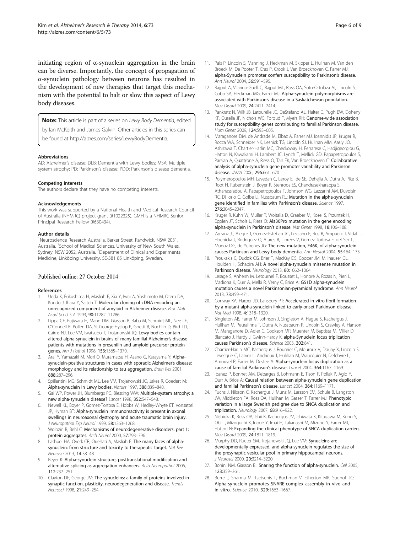<span id="page-5-0"></span>initiating region of α-synuclein aggregation in the brain can be diverse. Importantly, the concept of propagation of α-synuclein pathology between neurons has resulted in the development of new therapies that target this mechanism with the potential to halt or slow this aspect of Lewy body diseases.

Note: This article is part of a series on Lewy Body Dementia, edited

by Ian McKeith and James Galvin. Other articles in this series can

be found at [http://alzres.com/series/LewyBodyDementia.](http://alzres.com/series/LewyBodyDementia)

#### Abbreviations

AD: Alzheimer's disease; DLB: Dementia with Lewy bodies; MSA: Multiple system atrophy; PD: Parkinson's disease; PDD: Parkinson's disease dementia.

#### Competing interests

The authors declare that they have no competing interests.

#### Acknowledgements

This work was supported by a National Health and Medical Research Council of Australia (NHMRC) project grant (#1022325). GMH is a NHMRC Senior Principal Research Fellow (#630434).

#### Author details

<sup>1</sup>Neuroscience Research Australia, Barker Street, Randwick, NSW 2031, Australia. <sup>2</sup>School of Medical Sciences, University of New South Wales, Sydney, NSW 2052, Australia. <sup>3</sup>Department of Clinical and Experimental Medicine, Linköping University, SE-581 85 Linköping, Sweden.

#### Published online: 27 October 2014

#### References

- 1. Ueda K, Fukushima H, Masliah E, Xia Y, Iwai A, Yoshimoto M, Otero DA, Kondo J, Ihara Y, Saitoh T: Molecular cloning of cDNA encoding an unrecognized component of amyloid in Alzheimer disease. Proc Natl Acad Sci U S A 1993, 90:11282–11286.
- 2. Lippa CF, Fujiwara H, Mann DM, Giasson B, Baba M, Schmidt ML, Nee LE, O'Connell B, Pollen DA, St George-Hyslop P, Ghetti B, Nochlin D, Bird TD, Cairns NJ, Lee VM, Iwatsubo T, Trojanowski JQ: Lewy bodies contain altered alpha-synuclein in brains of many familial Alzheimer's disease patients with mutations in presenilin and amyloid precursor protein genes. Am J Pathol 1998, 153:1365–1370.
- Arai Y, Yamazaki M, Mori O, Muramatsu H, Asano G, Katayama Y: Alphasynuclein-positive structures in cases with sporadic Alzheimer's disease: morphology and its relationship to tau aggregation. Brain Res 2001, 888:287–296.
- 4. Spillantini MG, Schmidt ML, Lee VM, Trojanowski JQ, Jakes R, Goedert M: Alpha-synuclein in Lewy bodies. Nature 1997, 388:839–840.
- 5. Gai WP, Power JH, Blumbergs PC, Blessing WW: Multiple-system atrophy: a new alpha-synuclein disease? Lancet 1998, 352:547–548.
- 6. Newell KL, Boyer P, Gomez-Tortosa E, Hobbs W, Hedley-Whyte ET, Vonsattel JP, Hyman BT: Alpha-synuclein immunoreactivity is present in axonal swellings in neuroaxonal dystrophy and acute traumatic brain injury. J Neuropathol Exp Neurol 1999, 58:1263-1268.
- 7. Wolozin B, Behl C: Mechanisms of neurodegenerative disorders: part 1: protein aggregates. Arch Neurol 2000, 57:793–796.
- 8. Lashuel HA, Overk CR, Oueslati A, Masliah E: The many faces of alphasynuclein: from structure and toxicity to therapeutic target. Nat Rev Neurosci 2013, 14:38–48.
- Beyer K: Alpha-synuclein structure, posttranslational modification and alternative splicing as aggregation enhancers. Acta Neuropathol 2006, 112:237–251.
- 10. Clayton DF, George JM: The synucleins: a family of proteins involved in synaptic function, plasticity, neurodegeneration and disease. Trends Neurosci 1998, 21:249–254.
- 11. Pals P, Lincoln S, Manning J, Heckman M, Skipper L, Hulihan M, Van den Broeck M, De Pooter T, Cras P, Crook J, Van Broeckhoven C, Farrer MJ: alpha-Synuclein promoter confers susceptibility to Parkinson's disease. Ann Neurol 2004, 56:591–595.
- 12. Rajput A, Vilarino-Guell C, Rajput ML, Ross OA, Soto-Ortolaza AI, Lincoln SJ, Cobb SA, Heckman MG, Farrer MJ: Alpha-synuclein polymorphisms are associated with Parkinson's disease in a Saskatchewan population. Mov Disord 2009, 24:2411–2414.
- 13. Pankratz N, Wilk JB, Latourelle JC, DeStefano AL, Halter C, Pugh EW, Doheny KF, Gusella JF, Nichols WC, Foroud T, Myers RH: Genome-wide association study for susceptibility genes contributing to familial Parkinson disease. Hum Genet 2009, 124:593–605.
- 14. Maraganore DM, de Andrade M, Elbaz A, Farrer MJ, Ioannidis JP, Kruger R, Rocca WA, Schneider NK, Lesnick TG, Lincoln SJ, Hulihan MM, Aasly JO, Ashizawa T, Chartier-Harlin MC, Checkoway H, Ferrarese C, Hadjigeorgiou G, Hattori N, Kawakami H, Lambert JC, Lynch T, Mellick GD, Papapetropoulos S, Parsian A, Quattrone A, Riess O, Tan EK, Van Broeckhoven C: Collaborative analysis of alpha-synuclein gene promoter variability and Parkinson disease. JAMA 2006, 296:661–670.
- 15. Polymeropoulos MH, Lavedan C, Leroy E, Ide SE, Dehejia A, Dutra A, Pike B, Root H, Rubenstein J, Boyer R, Stenroos ES, Chandrasekharappa S, Athanassiadou A, Papapetropoulos T, Johnson WG, Lazzarini AM, Duvoisin RC, Di Iorio G, Golbe LI, Nussbaum RL: Mutation in the alpha-synuclein gene identified in families with Parkinson's disease. Science 1997, 276:2045–2047.
- 16. Kruger R, Kuhn W, Muller T, Woitalla D, Graeber M, Kosel S, Przuntek H, Epplen JT, Schols L, Riess O: Ala30Pro mutation in the gene encoding alpha-synuclein in Parkinson's disease. Nat Genet 1998, 18:106–108.
- 17. Zarranz JJ, Alegre J, Gomez-Esteban JC, Lezcano E, Ros R, Ampuero I, Vidal L, Hoenicka J, Rodriguez O, Atares B, Llorens V, Gomez Tortosa E, del Ser T, Munoz DG, de Yebenes JG: The new mutation, E46K, of alpha-synuclein causes Parkinson and Lewy body dementia. Ann Neurol 2004, 55:164–173.
- 18. Proukakis C, Dudzik CG, Brier T, MacKay DS, Cooper JM, Millhauser GL, Houlden H, Schapira AH: A novel alpha-synuclein missense mutation in Parkinson disease. Neurology 2013, 80:1062–1064.
- 19. Lesage S, Anheim M, Letournel F, Bousset L, Honore A, Rozas N, Pieri L, Madiona K, Durr A, Melki R, Verny C, Brice A: G51D alpha-synuclein mutation causes a novel Parkinsonian-pyramidal syndrome. Ann Neurol 2013, 73:459–471.
- 20. Conway KA, Harper JD, Lansbury PT: Accelerated in vitro fibril formation by a mutant alpha-synuclein linked to early-onset Parkinson disease. Nat Med 1998, 4:1318–1320.
- 21. Singleton AB, Farrer M, Johnson J, Singleton A, Hague S, Kachergus J, Hulihan M, Peuralinna T, Dutra A, Nussbaum R, Lincoln S, Crawley A, Hanson M, Maraganore D, Adler C, Cookson MR, Muenter M, Baptista M, Miller D, Blancato J, Hardy J, Gwinn-Hardy K: alpha-Synuclein locus triplication causes Parkinson's disease. Science 2003, 302:841.
- 22. Chartier-Harlin MC, Kachergus J, Roumier C, Mouroux V, Douay X, Lincoln S, Levecque C, Larvor L, Andrieux J, Hulihan M, Waucquier N, Defebvre L, Amouyel P, Farrer M, Destee A: Alpha-synuclein locus duplication as a cause of familial Parkinson's disease. Lancet 2004, 364:1167–1169.
- 23. Ibanez P, Bonnet AM, Debarges B, Lohmann E, Tison E, Pollak P, Agid Y, Durr A, Brice A: Causal relation between alpha-synuclein gene duplication and familial Parkinson's disease. Lancet 2004, 364:1169-1171.
- 24. Fuchs J, Nilsson C, Kachergus J, Munz M, Larsson EM, Schule B, Langston JW, Middleton FA, Ross OA, Hulihan M, Gasser T, Farrer MJ: Phenotypic variation in a large Swedish pedigree due to SNCA duplication and triplication. Neurology 2007, 68:916–922.
- 25. Nishioka K, Ross OA, Ishii K, Kachergus JM, Ishiwata K, Kitagawa M, Kono S, Obi T, Mizoguchi K, Inoue Y, Imai H, Takanashi M, Mizuno Y, Farrer MJ, Hattori N: Expanding the clinical phenotype of SNCA duplication carriers. Mov Disord 2009, 24:1811–1819.
- 26. Murphy DD, Rueter SM, Trojanowski JQ, Lee VM: Synucleins are developmentally expressed, and alpha-synuclein regulates the size of the presynaptic vesicular pool in primary hippocampal neurons. J Neurosci 2000, 20:3214–3220.
- 27. Bonini NM, Giasson BI: Snaring the function of alpha-synuclein. Cell 2005, 123:359–361.
- 28. Burre J, Sharma M, Tsetsenis T, Buchman V, Etherton MR, Sudhof TC: Alpha-synuclein promotes SNARE-complex assembly in vivo and in vitro. Science 2010, 329:1663–1667.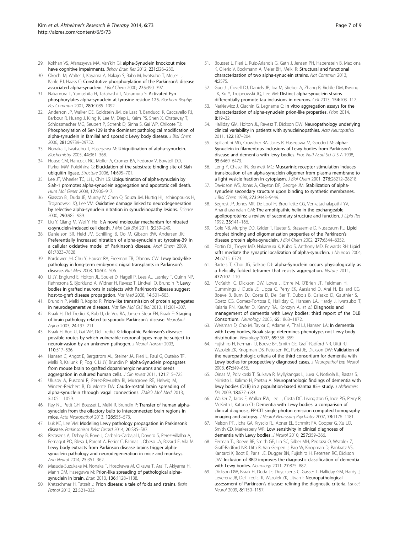- <span id="page-6-0"></span>29. Kokhan VS, Afanasyeva MA, Van'kin GI: alpha-Synuclein knockout mice have cognitive impairments. Behav Brain Res 2012, 231:226-230.
- 30. Okochi M, Walter J, Koyama A, Nakajo S, Baba M, Iwatsubo T, Meijer L, Kahle PJ, Haass C: Constitutive phosphorylation of the Parkinson's disease associated alpha-synuclein. J Biol Chem 2000, 275:390–397.
- 31. Nakamura T, Yamashita H, Takahashi T, Nakamura S: Activated Fyn phosphorylates alpha-synuclein at tyrosine residue 125. Biochem Biophys Res Commun 2001, 280:1085–1092.
- 32. Anderson JP, Walker DE, Goldstein JM, de Laat R, Banducci K, Caccavello RJ, Barbour R, Huang J, Kling K, Lee M, Diep L, Keim PS, Shen X, Chataway T, Schlossmacher MG, Seubert P, Schenk D, Sinha S, Gai WP, Chilcote TJ: Phosphorylation of Ser-129 is the dominant pathological modification of alpha-synuclein in familial and sporadic Lewy body disease. J Biol Chem 2006, 281:29739–29752.
- 33. Nonaka T, Iwatsubo T, Hasegawa M: Ubiquitination of alpha-synuclein. Biochemistry 2005, 44:361–368.
- 34. House CM, Hancock NC, Moller A, Cromer BA, Fedorov V, Bowtell DD, Parker MW, Polekhina G: Elucidation of the substrate binding site of Siah ubiquitin ligase. Structure 2006, 14:695-701
- 35. Lee JT, Wheeler TC, Li L, Chin LS: Ubiquitination of alpha-synuclein by Siah-1 promotes alpha-synuclein aggregation and apoptotic cell death. Hum Mol Genet 2008, 17:906–917.
- 36. Giasson BI, Duda JE, Murray IV, Chen Q, Souza JM, Hurtig HI, Ischiropoulos H, Trojanowski JQ, Lee VM: Oxidative damage linked to neurodegeneration by selective alpha-synuclein nitration in synucleinopathy lesions. Science 2000, 290:985–989.
- 37. Liu Y, Qiang M, Wei Y, He R: A novel molecular mechanism for nitrated α-synuclein-induced cell death. J Mol Cell Biol 2011, 3:239–249.
- 38. Danielson SR, Held JM, Schilling B, Oo M, Gibson BW, Andersen JK: Preferentially increased nitration of alpha-synuclein at tyrosine-39 in a cellular oxidative model of Parkinson's disease. Anal Chem 2009, 81:7823–7828.
- 39. Kordower JH, Chu Y, Hauser RA, Freeman TB, Olanow CW: Lewy body-like pathology in long-term embryonic nigral transplants in Parkinson's disease. Nat Med 2008, 14:504–506.
- 40. Li JY, Englund E, Holton JL, Soulet D, Hagell P, Lees AJ, Lashley T, Quinn NP, Rehncrona S, Bjorklund A, Widner H, Revesz T, Lindvall O, Brundin P: Lewy bodies in grafted neurons in subjects with Parkinson's disease suggest host-to-graft disease propagation. Nat Med 2008, 14:501–503.
- 41. Brundin P, Melki R, Kopito R: Prion-like transmission of protein aggregates in neurodegenerative diseases. Nat Rev Mol Cell Biol 2010, 11:301–307.
- 42. Braak H, Del Tredici K, Rub U, de Vos RA, Jansen Steur EN, Braak E: Staging of brain pathology related to sporadic Parkinson's disease. Neurobiol Aging 2003, 24:197–211.
- 43. Braak H, Rub U, Gai WP, Del Tredici K: Idiopathic Parkinson's disease: possible routes by which vulnerable neuronal types may be subject to neuroinvasion by an unknown pathogen. J Neural Transm 2003, 110:517–536.
- 44. Hansen C, Angot E, Bergstrom AL, Steiner JA, Pieri L, Paul G, Outeiro TF, Melki R, Kallunki P, Fog K, Li JY, Brundin P: alpha-Synuclein propagates from mouse brain to grafted dopaminergic neurons and seeds aggregation in cultured human cells. J Clin Invest 2011, 121:715-725.
- 45. Ulusoy A, Rusconi R, Perez-Revuelta BI, Musgrove RE, Helwig M, Winzen-Reichert B, Di Monte DA: Caudo-rostral brain spreading of alpha-synuclein through vagal connections. EMBO Mol Med 2013, 5:1051–1059.
- 46. Rey NL, Petit GH, Bousset L, Melki R, Brundin P: Transfer of human alphasynuclein from the olfactory bulb to interconnected brain regions in mice. Acta Neuropathol 2013, 126:555–573.
- 47. Luk KC, Lee VM: Modeling Lewy pathology propagation in Parkinson's disease. Parkinsonism Relat Disord 2014, 20:S85–S87.
- 48. Recasens A, Dehay B, Bove J, Carballo-Carbajal I, Dovero S, Perez-Villalba A, Fernagut PO, Blesa J, Parent A, Perier C, Farinas I, Obeso JA, Bezard E, Vila M: Lewy body extracts from Parkinson disease brains trigger alphasynuclein pathology and neurodegeneration in mice and monkeys. Ann Neurol 2014, 75:351–362.
- 49. Masuda-Suzukake M, Nonaka T, Hosokawa M, Oikawa T, Arai T, Akiyama H, Mann DM, Hasegawa M: Prion-like spreading of pathological alphasynuclein in brain. Brain 2013, 136:1128–1138.
- 50. Kretzschmar H, Tatzelt J: Prion disease: a tale of folds and strains. Brain Pathol 2013, 23:321–332.
- 51. Bousset L, Pieri L, Ruiz-Arlandis G, Gath J, Jensen PH, Habenstein B, Madiona K, Olieric V, Bockmann A, Meier BH, Melki R: Structural and functional characterization of two alpha-synuclein strains. Nat Commun 2013, 4:2575.
- 52. Guo JL, Covell DJ, Daniels JP, Iba M, Stieber A, Zhang B, Riddle DM, Kwong LK, Xu Y, Trojanowski JQ, Lee VM: Distinct alpha-synuclein strains differentially promote tau inclusions in neurons. Cell 2013, 154:103–117.
- 53. Narkiewicz J, Giachin G, Legname G: In vitro aggregation assays for the characterization of alpha-synuclein prion-like properties. Prion 2014,  $8.19 - 32$
- 54. Halliday GM, Holton JL, Revesz T, Dickson DW: Neuropathology underlying clinical variability in patients with synucleinopathies. Acta Neuropathol 2011, 122:187–204.
- 55. Spillantini MG, Crowther RA, Jakes R, Hasegawa M, Goedert M: alpha-Synuclein in filamentous inclusions of Lewy bodies from Parkinson's disease and dementia with lewy bodies. Proc Natl Acad Sci U S A 1998, 95:6469–6473.
- 56. Leng Y, Chase TN, Bennett MC: Muscarinic receptor stimulation induces translocation of an alpha-synuclein oligomer from plasma membrane to a light vesicle fraction in cytoplasm. J Biol Chem 2001, 276:28212–28218.
- 57. Davidson WS, Jonas A, Clayton DF, George JM: Stabilization of alphasynuclein secondary structure upon binding to synthetic membranes. J Biol Chem 1998, 273:9443–9449.
- 58. Segrest JP, Jones MK, De Loof H, Brouillette CG, Venkatachalapathi YV, Anantharamaiah GM: The amphipathic helix in the exchangeable apolipoproteins: a review of secondary structure and function. J Lipid Res 1992, 33:141–166.
- 59. Cole NB, Murphy DD, Grider T, Rueter S, Brasaemle D, Nussbaum RL: Lipid droplet binding and oligomerization properties of the Parkinson's disease protein alpha-synuclein. J Biol Chem 2002, 277:6344–6352.
- 60. Fortin DL, Troyer MD, Nakamura K, Kubo S, Anthony MD, Edwards RH: Lipid rafts mediate the synaptic localization of alpha-synuclein. J Neurosci 2004, 24:6715–6723.
- 61. Bartels T, Choi JG, Selkoe DJ: alpha-Synuclein occurs physiologically as a helically folded tetramer that resists aggregation. Nature 2011, 477:107–110.
- 62. McKeith IG, Dickson DW, Lowe J, Emre M, O'Brien JT, Feldman H, Cummings J, Duda JE, Lippa C, Perry EK, Aarsland D, Arai H, Ballard CG, Boeve B, Burn DJ, Costa D, Del Ser T, Dubois B, Galasko D, Gauthier S, Goetz CG, Gomez-Tortosa E, Halliday G, Hansen LA, Hardy J, Iwatsubo T, Kalaria RN, Kaufer D, Kenny RA, Korczyn A, et al: Diagnosis and management of dementia with Lewy bodies: third report of the DLB Consortium. Neurology 2005, 65:1863–1872.
- 63. Weisman D, Cho M, Taylor C, Adame A, Thal LJ, Hansen LA: In dementia with Lewy bodies, Braak stage determines phenotype, not Lewy body distribution. Neurology 2007, 69:356–359.
- 64. Fujishiro H, Ferman TJ, Boeve BF, Smith GE, Graff-Radford NR, Uitti RJ, Wszolek ZK, Knopman DS, Petersen RC, Parisi JE, Dickson DW: Validation of the neuropathologic criteria of the third consortium for dementia with Lewy bodies for prospectively diagnosed cases. J Neuropathol Exp Neurol 2008, 67:649–656.
- 65. Oinas M, Polvikoski T, Sulkava R, Myllykangas L, Juva K, Notkola IL, Rastas S, Niinisto L, Kalimo H, Paetau A: Neuropathologic findings of dementia with lewy bodies (DLB) in a population-based Vantaa 85+ study. J Alzheimers Dis 2009, 18:677–689.
- 66. Walker Z, Jaros E, Walker RW, Lee L, Costa DC, Livingston G, Ince PG, Perry R, McKeith I, Katona CL: Dementia with Lewy bodies: a comparison of clinical diagnosis, FP-CIT single photon emission computed tomography imaging and autopsy. J Neurol Neurosurg Psychiatry 2007, 78:1176-1181.
- 67. Nelson PT, Jicha GA, Kryscio RJ, Abner EL, Schmitt FA, Cooper G, Xu LO, Smith CD, Markesbery WR: Low sensitivity in clinical diagnoses of dementia with Lewy bodies. J Neurol 2010, 257:359-366.
- 68. Ferman TJ, Boeve BF, Smith GE, Lin SC, Silber MH, Pedraza O, Wszolek Z, Graff-Radford NR, Uitti R, Van Gerpen J, Pao W, Knopman D, Pankratz VS, Kantarci K, Boot B, Parisi JE, Dugger BN, Fujishiro H, Petersen RC, Dickson DW: Inclusion of RBD improves the diagnostic classification of dementia with Lewy bodies. Neurology 2011, 77:875–882.
- 69. Dickson DW, Braak H, Duda JE, Duyckaerts C, Gasser T, Halliday GM, Hardy J, Leverenz JB, Del Tredici K, Wszolek ZK, Litvan I: Neuropathological assessment of Parkinson's disease: refining the diagnostic criteria. Lancet Neurol 2009, 8:1150–1157.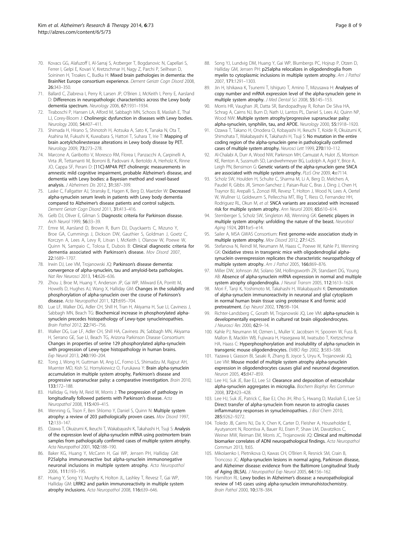- <span id="page-7-0"></span>70. Kovacs GG, Alafuzoff I, Al-Sarraj S, Arzberger T, Bogdanovic N, Capellari S, Ferrer I, Gelpi E, Kovari V, Kretzschmar H, Nagy Z, Parchi P, Seilhean D, Soininen H, Troakes C, Budka H: Mixed brain pathologies in dementia: the BrainNet Europe consortium experience. Dement Geriatr Cogn Disord 2008, 26:343–350.
- 71. Ballard C, Ziabreva I, Perry R, Larsen JP, O'Brien J, McKeith I, Perry E, Aarsland D: Differences in neuropathologic characteristics across the Lewy body dementia spectrum. Neurology 2006, 67:1931–1934.
- 72. Tiraboschi P, Hansen LA, Alford M, Sabbagh MN, Schoos B, Masliah E, Thal LJ, Corey-Bloom J: Cholinergic dysfunction in diseases with Lewy bodies. Neurology 2000, 54:407–411.
- 73. Shimada H, Hirano S, Shinotoh H, Aotsuka A, Sato K, Tanaka N, Ota T, Asahina M, Fukushi K, Kuwabara S, Hattori T, Suhara T, Irie T: Mapping of brain acetylcholinesterase alterations in Lewy body disease by PET. Neurology 2009, 73:273–278.
- 74. Marcone A, Garibotto V, Moresco RM, Florea I, Panzacchi A, Carpinelli A, Virta JR, Tettamanti M, Borroni B, Padovani A, Bertoldo A, Herholz K, Rinne JO, Cappa SF, Perani D: [11C]-MP4A PET cholinergic measurements in amnestic mild cognitive impairment, probable Alzheimer's disease, and dementia with Lewy bodies: a Bayesian method and voxel-based analysis. J Alzheimers Dis 2012, 31:387–399.
- 75. Laske C, Fallgatter AJ, Stransky E, Hagen K, Berg D, Maetzler W: Decreased alpha-synuclein serum levels in patients with Lewy body dementia compared to Alzheimer's disease patients and control subjects. Dement Geriatr Cogn Disord 2011, 31:413–416.
- 76. Gelb DJ, Oliver E, Gilman S: Diagnostic criteria for Parkinson disease. Arch Neurol 1999, 56:33–39.
- 77. Emre M, Aarsland D, Brown R, Burn DJ, Duyckaerts C, Mizuno Y, Broe GA, Cummings J, Dickson DW, Gauthier S, Goldman J, Goetz C, Korczyn A, Lees A, Levy R, Litvan I, McKeith I, Olanow W, Poewe W, Quinn N, Sampaio C, Tolosa E, Dubois B: Clinical diagnostic criteria for dementia associated with Parkinson's disease. Mov Disord 2007, 22:1689–1707.
- 78. Irwin DJ, Lee VM, Trojanowski JQ: Parkinson's disease dementia: convergence of alpha-synuclein, tau and amyloid-beta pathologies. Nat Rev Neurosci 2013, 14:626–636.
- 79. Zhou J, Broe M, Huang Y, Anderson JP, Gai WP, Milward EA, Porritt M, Howells D, Hughes AJ, Wang X, Halliday GM: Changes in the solubility and phosphorylation of alpha-synuclein over the course of Parkinson's disease. Acta Neuropathol 2011, 121:695-704.
- 80. Lue LF, Walker DG, Adler CH, Shill H, Tran H, Akiyama H, Sue LI, Caviness J, Sabbagh MN, Beach TG: Biochemical increase in phosphorylated alphasynuclein precedes histopathology of Lewy-type synucleinopathies. Brain Pathol 2012, 22:745–756.
- 81. Walker DG, Lue LF, Adler CH, Shill HA, Caviness JN, Sabbagh MN, Akiyama H, Serrano GE, Sue LI, Beach TG, Arizona Parkinson Disease Consortium: Changes in properties of serine 129 phosphorylated alpha-synuclein with progression of Lewy-type histopathology in human brains. Exp Neurol 2013, 240:190–204.
- 82. Tong J, Wong H, Guttman M, Ang LC, Forno LS, Shimadzu M, Rajput AH, Muenter MD, Kish SJ, Hornykiewicz O, Furukawa Y: Brain alpha-synuclein accumulation in multiple system atrophy, Parkinson's disease and progressive supranuclear palsy: a comparative investigation. Brain 2010, 133:172–188.
- 83. Halliday G, Hely M, Reid W, Morris J: The progression of pathology in longitudinally followed patients with Parkinson's disease. Acta Neuropathol 2008, 115:409–415.
- 84. Wenning G, Tison F, Ben Shlomo Y, Daniel S, Quinn N: Multiple system atrophy: a review of 203 pathologically proven cases. Mov Disord 1997, 12:133–147.
- 85. Ozawa T, Okuizumi K, Ikeuchi T, Wakabayashi K, Takahashi H, Tsuji S: Analysis of the expression level of alpha-synuclein mRNA using postmortem brain samples from pathologically confirmed cases of multiple system atrophy. Acta Neuropathol 2001, 102:188–190.
- 86. Baker KG, Huang Y, McCann H, Gai WP, Jensen PH, Halliday GM: P25alpha immunoreactive but alpha-synuclein immunonegative neuronal inclusions in multiple system atrophy. Acta Neuropathol 2006, 111:193–195.
- 87. Huang Y, Song YJ, Murphy K, Holton JL, Lashley T, Revesz T, Gai WP, Halliday GM: LRRK2 and parkin immunoreactivity in multiple system atrophy inclusions. Acta Neuropathol 2008, 116:639–646.
- 88. Song YJ, Lundvig DM, Huang Y, Gai WP, Blumbergs PC, Hojrup P, Otzen D, Halliday GM, Jensen PH: p25alpha relocalizes in oligodendroglia from myelin to cytoplasmic inclusions in multiple system atrophy. Am J Pathol 2007, 171:1291–1303.
- 89. Jin H, Ishikawa K, Tsunemi T, Ishiguro T, Amino T, Mizusawa H: Analyses of copy number and mRNA expression level of the alpha-synuclein gene in multiple system atrophy. J Med Dental Sci 2008, 55:145–153.
- Morris HR, Vaughan JR, Datta SR, Bandopadhyay R, Rohan De Silva HA, Schrag A, Cairns NJ, Burn D, Nath U, Lantos PL, Daniel S, Lees AJ, Quinn NP, Wood NW: Multiple system atrophy/progressive supranuclear palsy: alpha-synuclein, synphilin, tau, and APOE. Neurology 2000, 55:1918–1920.
- 91. Ozawa T, Takano H, Onodera O, Kobayashi H, Ikeuchi T, Koide R, Okuizumi K, Shimohata T, Wakabayashi K, Takahashi H, Tsuji S: No mutation in the entire coding region of the alpha-synuclein gene in pathologically confirmed cases of multiple system atrophy. Neurosci Lett 1999, 270:110–112.
- 92. Al-Chalabi A, Durr A, Wood NW, Parkinson MH, Camuzat A, Hulot JS, Morrison KE, Renton A, Sussmuth SD, Landwehrmeyer BG, Ludolph A, Agid Y, Brice A, Leigh PN, Bensimon G: Genetic variants of the alpha-synuclein gene SNCA are associated with multiple system atrophy. PLoS One 2009, 4:e7114.
- 93. Scholz SW, Houlden H, Schulte C, Sharma M, Li A, Berg D, Melchers A, Paudel R, Gibbs JR, Simon-Sanchez J, Paisan-Ruiz C, Bras J, Ding J, Chen H, Traynor BJ, Arepalli S, Zonozi RR, Revesz T, Holton J, Wood N, Lees A, Oertel W, Wullner U, Goldwurm S, Pellecchia MT, Illig T, Riess O, Fernandez HH, Rodriguez RL, Okun M, et al: SNCA variants are associated with increased risk for multiple system atrophy. Ann Neurol 2009, 65:610–614.
- 94. Stemberger S, Scholz SW, Singleton AB, Wenning GK: Genetic players in multiple system atrophy: unfolding the nature of the beast. Neurobiol Aging 1924, 2011:e5–e14.
- 95. Sailer A, MSA GWAS Consortium: First genome-wide association study in multiple system atrophy. Mov Disord 2012, 27:1425.
- 96. Stefanova N, Reindl M, Neumann M, Haass C, Poewe W, Kahle PJ, Wenning GK: Oxidative stress in transgenic mice with oligodendroglial alphasynuclein overexpression replicates the characteristic neuropathology of multiple system atrophy. Am J Pathol 2005, 166:869–876.
- 97. Miller DW, Johnson JM, Solano SM, Hollingsworth ZR, Standaert DG, Young AB: Absence of alpha-synuclein mRNA expression in normal and multiple system atrophy oligodendroglia. J Neural Transm 2005, 112:1613–1624.
- 98. Mori F, Tanji K, Yoshimoto M, Takahashi H, Wakabayashi K: Demonstration of alpha-synuclein immunoreactivity in neuronal and glial cytoplasm in normal human brain tissue using proteinase K and formic acid pretreatment. Exp Neurol 2002, 176:98–104.
- 99. Richter-Landsberg C, Gorath M, Trojanowski JQ, Lee VM: alpha-synuclein is developmentally expressed in cultured rat brain oligodendrocytes. J Neurosci Res 2000, 62:9–14.
- 100. Kahle PJ, Neumann M, Ozmen L, Muller V, Jacobsen H, Spooren W, Fuss B, Mallon B, Macklin WB, Fujiwara H, Hasegawa M, Iwatsubo T, Kretzschmar HA, Haass C: Hyperphosphorylation and insolubility of alpha-synuclein in transgenic mouse oligodendrocytes. EMBO Rep 2002, 3:583–588.
- 101. Yazawa I, Giasson BI, Sasaki R, Zhang B, Joyce S, Uryu K, Trojanowski JQ, Lee VM: Mouse model of multiple system atrophy alpha-synuclein expression in oligodendrocytes causes glial and neuronal degeneration. Neuron 2005, 45:847–859.
- 102. Lee HJ, Suk JE, Bae EJ, Lee SJ: Clearance and deposition of extracellular alpha-synuclein aggregates in microglia. Biochem Biophys Res Commun 2008, 372:423–428.
- 103. Lee HJ, Suk JE, Patrick C, Bae EJ, Cho JH, Rho S, Hwang D, Masliah E, Lee SJ: Direct transfer of alpha-synuclein from neuron to astroglia causes inflammatory responses in synucleinopathies. J Biol Chem 2010, 285:9262–9272.
- 104. Toledo JB, Cairns NJ, Da X, Chen K, Carter D, Fleisher A, Householder E, Ayutyanont N, Roontiva A, Bauer RJ, Eisen P, Shaw LM, Davatzikos C, Weiner MW, Reiman EM, Morris JC, Trojanowski JQ: Clinical and multimodal biomarker correlates of ADNI neuropathological findings. Acta Neuropathol Commun 2013, 1:65.
- 105. Mikolaenko I, Pletnikova O, Kawas CH, O'Brien R, Resnick SM, Crain B, Troncoso JC: Alpha-synuclein lesions in normal aging, Parkinson disease, and Alzheimer disease: evidence from the Baltimore Longitudinal Study of Aging (BLSA). J Neuropathol Exp Neurol 2005, 64:156–162.
- 106. Hamilton RL: Lewy bodies in Alzheimer's disease: a neuropathological review of 145 cases using alpha-synuclein immunohistochemistry. Brain Pathol 2000, 10:378–384.